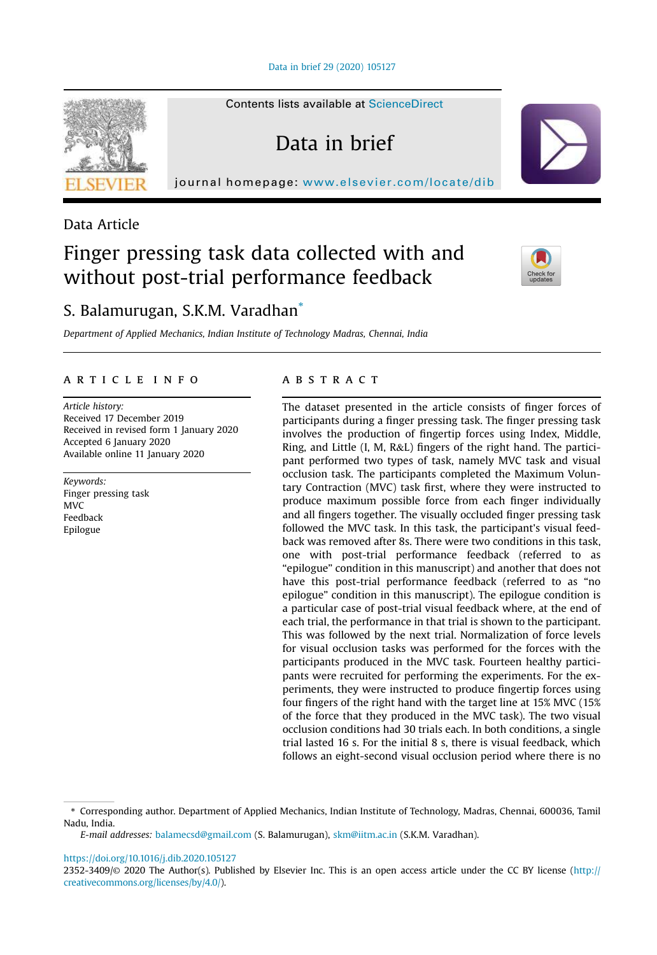Data in brief 29 (2020) 105127

Contents lists available at ScienceDirect

Data in brief

journal homepage: www.elsevier.com/locate/dib



# Data Article

# Finger pressing task data collected with and without post-trial performance feedback



# S. Balamurugan, S.K.M. Varadhan\*

*Department of Applied Mechanics, Indian Institute of Technology Madras, Chennai, India*

# article info

*Article history:* Received 17 December 2019 Received in revised form 1 January 2020 Accepted 6 January 2020 Available online 11 January 2020

*Keywords:* Finger pressing task MVC Feedback Epilogue

# **ABSTRACT**

The dataset presented in the article consists of finger forces of participants during a finger pressing task. The finger pressing task involves the production of fingertip forces using Index, Middle, Ring, and Little (I, M, R&L) fingers of the right hand. The participant performed two types of task, namely MVC task and visual occlusion task. The participants completed the Maximum Voluntary Contraction (MVC) task first, where they were instructed to produce maximum possible force from each finger individually and all fingers together. The visually occluded finger pressing task followed the MVC task. In this task, the participant's visual feedback was removed after 8s. There were two conditions in this task, one with post-trial performance feedback (referred to as "epilogue" condition in this manuscript) and another that does not have this post-trial performance feedback (referred to as "no epilogue" condition in this manuscript). The epilogue condition is a particular case of post-trial visual feedback where, at the end of each trial, the performance in that trial is shown to the participant. This was followed by the next trial. Normalization of force levels for visual occlusion tasks was performed for the forces with the participants produced in the MVC task. Fourteen healthy participants were recruited for performing the experiments. For the experiments, they were instructed to produce fingertip forces using four fingers of the right hand with the target line at 15% MVC (15% of the force that they produced in the MVC task). The two visual occlusion conditions had 30 trials each. In both conditions, a single trial lasted 16 s. For the initial 8 s, there is visual feedback, which follows an eight-second visual occlusion period where there is no

https://doi.org/10.1016/j.dib.2020.105127

<sup>\*</sup> Corresponding author. Department of Applied Mechanics, Indian Institute of Technology, Madras, Chennai, 600036, Tamil Nadu, India.

*E-mail addresses:* balamecsd@gmail.com (S. Balamurugan), skm@iitm.ac.in (S.K.M. Varadhan).

<sup>2352-3409/</sup>© 2020 The Author(s). Published by Elsevier Inc. This is an open access article under the CC BY license (http:// creativecommons.org/licenses/by/4.0/).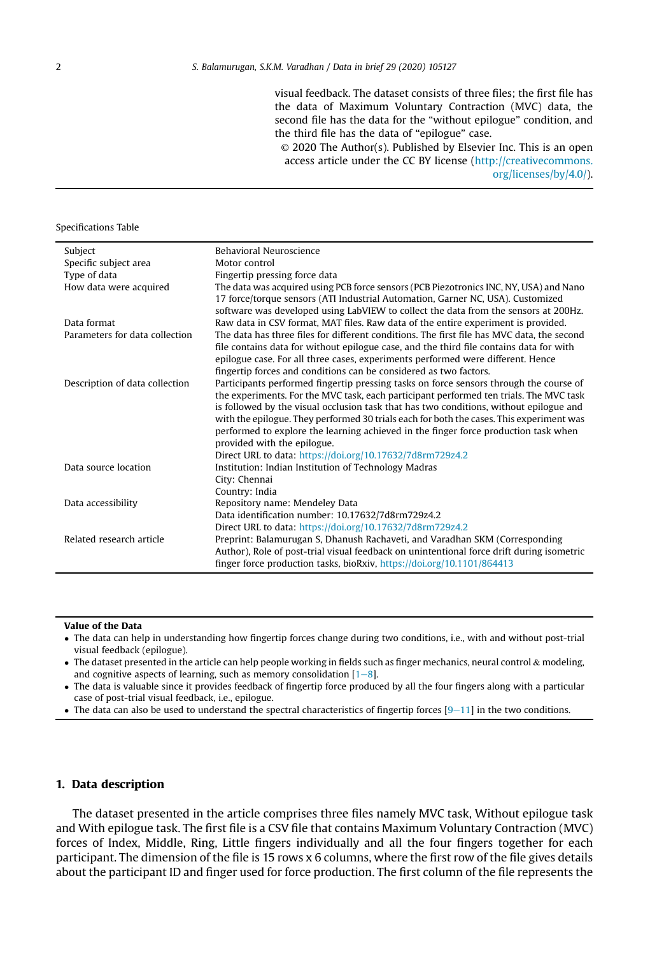visual feedback. The dataset consists of three files; the first file has the data of Maximum Voluntary Contraction (MVC) data, the second file has the data for the "without epilogue" condition, and the third file has the data of "epilogue" case.

© 2020 The Author(s). Published by Elsevier Inc. This is an open access article under the CC BY license (http://creativecommons. org/licenses/by/4.0/).

#### Specifications Table

| Subject                        | Behavioral Neuroscience                                                                                                                                                               |
|--------------------------------|---------------------------------------------------------------------------------------------------------------------------------------------------------------------------------------|
| Specific subject area          | Motor control                                                                                                                                                                         |
| Type of data                   | Fingertip pressing force data                                                                                                                                                         |
| How data were acquired         | The data was acquired using PCB force sensors (PCB Piezotronics INC, NY, USA) and Nano                                                                                                |
|                                | 17 force/torque sensors (ATI Industrial Automation, Garner NC, USA). Customized                                                                                                       |
|                                | software was developed using LabVIEW to collect the data from the sensors at 200Hz.                                                                                                   |
| Data format                    | Raw data in CSV format, MAT files. Raw data of the entire experiment is provided.                                                                                                     |
| Parameters for data collection | The data has three files for different conditions. The first file has MVC data, the second<br>file contains data for without epilogue case, and the third file contains data for with |
|                                | epilogue case. For all three cases, experiments performed were different. Hence                                                                                                       |
|                                | fingertip forces and conditions can be considered as two factors.                                                                                                                     |
| Description of data collection | Participants performed fingertip pressing tasks on force sensors through the course of                                                                                                |
|                                | the experiments. For the MVC task, each participant performed ten trials. The MVC task                                                                                                |
|                                | is followed by the visual occlusion task that has two conditions, without epilogue and<br>with the epilogue. They performed 30 trials each for both the cases. This experiment was    |
|                                | performed to explore the learning achieved in the finger force production task when                                                                                                   |
|                                | provided with the epilogue.                                                                                                                                                           |
|                                | Direct URL to data: https://doi.org/10.17632/7d8rm729z4.2                                                                                                                             |
| Data source location           | Institution: Indian Institution of Technology Madras                                                                                                                                  |
|                                | City: Chennai                                                                                                                                                                         |
|                                | Country: India                                                                                                                                                                        |
| Data accessibility             | Repository name: Mendeley Data                                                                                                                                                        |
|                                | Data identification number: 10.17632/7d8rm729z4.2                                                                                                                                     |
|                                | Direct URL to data: https://doi.org/10.17632/7d8rm729z4.2                                                                                                                             |
| Related research article       | Preprint: Balamurugan S, Dhanush Rachaveti, and Varadhan SKM (Corresponding                                                                                                           |
|                                | Author), Role of post-trial visual feedback on unintentional force drift during isometric                                                                                             |
|                                | finger force production tasks, bioRxiv, https://doi.org/10.1101/864413                                                                                                                |

#### Value of the Data

 The data can help in understanding how fingertip forces change during two conditions, i.e., with and without post-trial visual feedback (epilogue).

 $\bullet$  The dataset presented in the article can help people working in fields such as finger mechanics, neural control & modeling, and cognitive aspects of learning, such as memory consolidation  $[1-8]$ .

 The data is valuable since it provides feedback of fingertip force produced by all the four fingers along with a particular case of post-trial visual feedback, i.e., epilogue.

• The data can also be used to understand the spectral characteristics of fingertip forces  $[9-11]$  in the two conditions.

# 1. Data description

The dataset presented in the article comprises three files namely MVC task, Without epilogue task and With epilogue task. The first file is a CSV file that contains Maximum Voluntary Contraction (MVC) forces of Index, Middle, Ring, Little fingers individually and all the four fingers together for each participant. The dimension of the file is 15 rows x 6 columns, where the first row of the file gives details about the participant ID and finger used for force production. The first column of the file represents the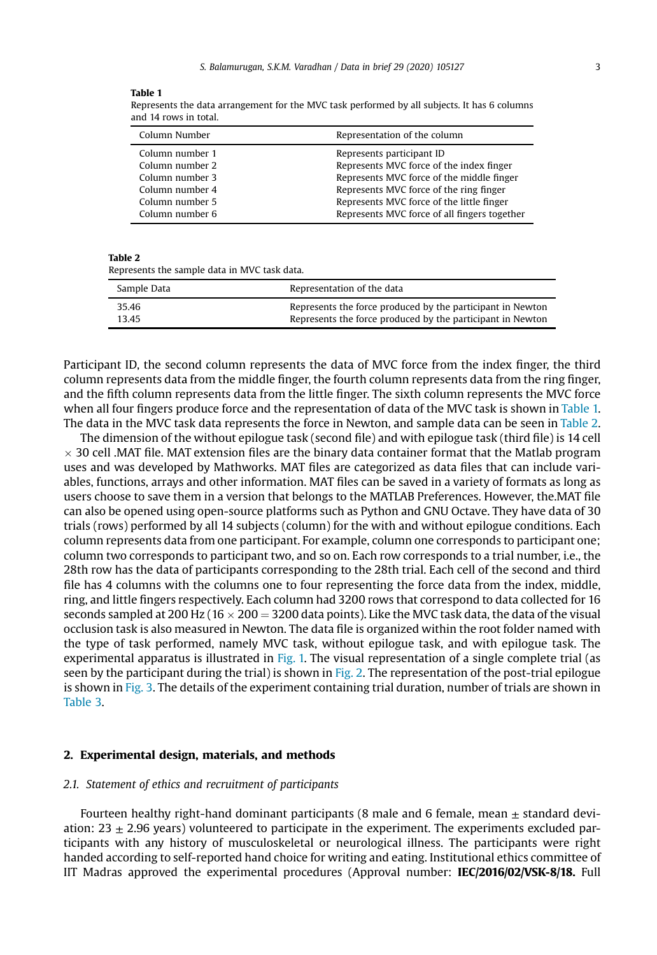#### Table 1

Represents the data arrangement for the MVC task performed by all subjects. It has 6 columns and 14 rows in total.

| Column Number   | Representation of the column                 |
|-----------------|----------------------------------------------|
| Column number 1 | Represents participant ID                    |
| Column number 2 | Represents MVC force of the index finger     |
| Column number 3 | Represents MVC force of the middle finger    |
| Column number 4 | Represents MVC force of the ring finger      |
| Column number 5 | Represents MVC force of the little finger    |
| Column number 6 | Represents MVC force of all fingers together |

#### Table 2

Represents the sample data in MVC task data.

| Sample Data | Representation of the data                                 |
|-------------|------------------------------------------------------------|
| 35.46       | Represents the force produced by the participant in Newton |
| 1345        | Represents the force produced by the participant in Newton |

Participant ID, the second column represents the data of MVC force from the index finger, the third column represents data from the middle finger, the fourth column represents data from the ring finger, and the fifth column represents data from the little finger. The sixth column represents the MVC force when all four fingers produce force and the representation of data of the MVC task is shown in Table 1. The data in the MVC task data represents the force in Newton, and sample data can be seen in Table 2.

The dimension of the without epilogue task (second file) and with epilogue task (third file) is 14 cell  $\times$  30 cell .MAT file. MAT extension files are the binary data container format that the Matlab program uses and was developed by Mathworks. MAT files are categorized as data files that can include variables, functions, arrays and other information. MAT files can be saved in a variety of formats as long as users choose to save them in a version that belongs to the MATLAB Preferences. However, the.MAT file can also be opened using open-source platforms such as Python and GNU Octave. They have data of 30 trials (rows) performed by all 14 subjects (column) for the with and without epilogue conditions. Each column represents data from one participant. For example, column one corresponds to participant one; column two corresponds to participant two, and so on. Each row corresponds to a trial number, i.e., the 28th row has the data of participants corresponding to the 28th trial. Each cell of the second and third file has 4 columns with the columns one to four representing the force data from the index, middle, ring, and little fingers respectively. Each column had 3200 rows that correspond to data collected for 16 seconds sampled at 200 Hz ( $16 \times 200 = 3200$  data points). Like the MVC task data, the data of the visual occlusion task is also measured in Newton. The data file is organized within the root folder named with the type of task performed, namely MVC task, without epilogue task, and with epilogue task. The experimental apparatus is illustrated in Fig. 1. The visual representation of a single complete trial (as seen by the participant during the trial) is shown in Fig. 2. The representation of the post-trial epilogue is shown in Fig. 3. The details of the experiment containing trial duration, number of trials are shown in Table 3.

## 2. Experimental design, materials, and methods

## *2.1. Statement of ethics and recruitment of participants*

Fourteen healthy right-hand dominant participants (8 male and 6 female, mean  $\pm$  standard deviation:  $23 \pm 2.96$  years) volunteered to participate in the experiment. The experiments excluded participants with any history of musculoskeletal or neurological illness. The participants were right handed according to self-reported hand choice for writing and eating. Institutional ethics committee of IIT Madras approved the experimental procedures (Approval number: IEC/2016/02/VSK-8/18. Full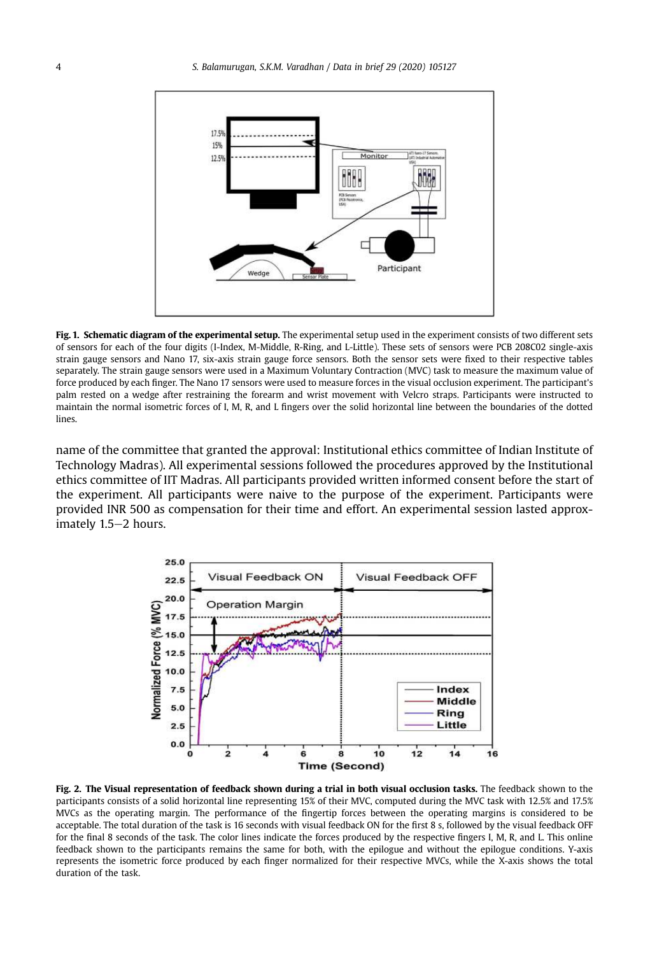

Fig. 1. Schematic diagram of the experimental setup. The experimental setup used in the experiment consists of two different sets of sensors for each of the four digits (I-Index, M-Middle, R-Ring, and L-Little). These sets of sensors were PCB 208C02 single-axis strain gauge sensors and Nano 17, six-axis strain gauge force sensors. Both the sensor sets were fixed to their respective tables separately. The strain gauge sensors were used in a Maximum Voluntary Contraction (MVC) task to measure the maximum value of force produced by each finger. The Nano 17 sensors were used to measure forces in the visual occlusion experiment. The participant's palm rested on a wedge after restraining the forearm and wrist movement with Velcro straps. Participants were instructed to maintain the normal isometric forces of I, M, R, and L fingers over the solid horizontal line between the boundaries of the dotted lines.

name of the committee that granted the approval: Institutional ethics committee of Indian Institute of Technology Madras). All experimental sessions followed the procedures approved by the Institutional ethics committee of IIT Madras. All participants provided written informed consent before the start of the experiment. All participants were naive to the purpose of the experiment. Participants were provided INR 500 as compensation for their time and effort. An experimental session lasted approximately  $1.5-2$  hours.



Fig. 2. The Visual representation of feedback shown during a trial in both visual occlusion tasks. The feedback shown to the participants consists of a solid horizontal line representing 15% of their MVC, computed during the MVC task with 12.5% and 17.5% MVCs as the operating margin. The performance of the fingertip forces between the operating margins is considered to be acceptable. The total duration of the task is 16 seconds with visual feedback ON for the first 8 s, followed by the visual feedback OFF for the final 8 seconds of the task. The color lines indicate the forces produced by the respective fingers I, M, R, and L. This online feedback shown to the participants remains the same for both, with the epilogue and without the epilogue conditions. Y-axis represents the isometric force produced by each finger normalized for their respective MVCs, while the X-axis shows the total duration of the task.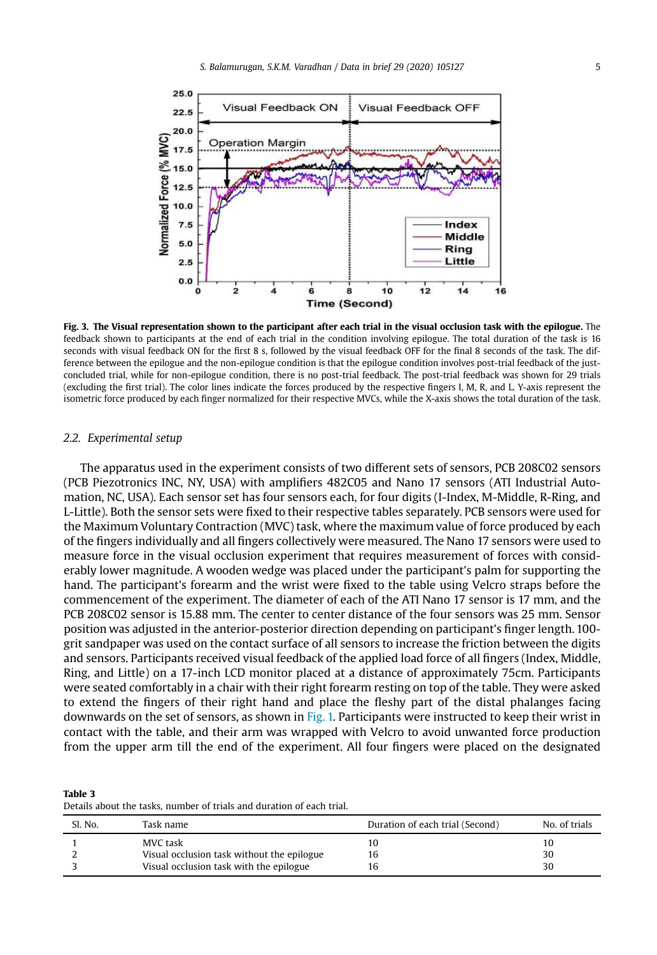

Fig. 3. The Visual representation shown to the participant after each trial in the visual occlusion task with the epilogue. The feedback shown to participants at the end of each trial in the condition involving epilogue. The total duration of the task is 16 seconds with visual feedback ON for the first 8 s, followed by the visual feedback OFF for the final 8 seconds of the task. The difference between the epilogue and the non-epilogue condition is that the epilogue condition involves post-trial feedback of the justconcluded trial, while for non-epilogue condition, there is no post-trial feedback. The post-trial feedback was shown for 29 trials (excluding the first trial). The color lines indicate the forces produced by the respective fingers I, M, R, and L. Y-axis represent the isometric force produced by each finger normalized for their respective MVCs, while the X-axis shows the total duration of the task.

#### *2.2. Experimental setup*

The apparatus used in the experiment consists of two different sets of sensors, PCB 208C02 sensors (PCB Piezotronics INC, NY, USA) with amplifiers 482C05 and Nano 17 sensors (ATI Industrial Automation, NC, USA). Each sensor set has four sensors each, for four digits (I-Index, M-Middle, R-Ring, and L-Little). Both the sensor sets were fixed to their respective tables separately. PCB sensors were used for the Maximum Voluntary Contraction (MVC) task, where the maximum value of force produced by each of the fingers individually and all fingers collectively were measured. The Nano 17 sensors were used to measure force in the visual occlusion experiment that requires measurement of forces with considerably lower magnitude. A wooden wedge was placed under the participant's palm for supporting the hand. The participant's forearm and the wrist were fixed to the table using Velcro straps before the commencement of the experiment. The diameter of each of the ATI Nano 17 sensor is 17 mm, and the PCB 208C02 sensor is 15.88 mm. The center to center distance of the four sensors was 25 mm. Sensor position was adjusted in the anterior-posterior direction depending on participant's finger length. 100 grit sandpaper was used on the contact surface of all sensors to increase the friction between the digits and sensors. Participants received visual feedback of the applied load force of all fingers (Index, Middle, Ring, and Little) on a 17-inch LCD monitor placed at a distance of approximately 75cm. Participants were seated comfortably in a chair with their right forearm resting on top of the table. They were asked to extend the fingers of their right hand and place the fleshy part of the distal phalanges facing downwards on the set of sensors, as shown in Fig. 1. Participants were instructed to keep their wrist in contact with the table, and their arm was wrapped with Velcro to avoid unwanted force production from the upper arm till the end of the experiment. All four fingers were placed on the designated

Table 3 Details about the tasks, number of trials and duration of each trial.

| Sl. No. | Task name                                  | Duration of each trial (Second) | No. of trials |
|---------|--------------------------------------------|---------------------------------|---------------|
|         | MVC task                                   | 10                              | 10            |
|         | Visual occlusion task without the epilogue | 16                              | 30            |
|         | Visual occlusion task with the epilogue    | 16                              | 30            |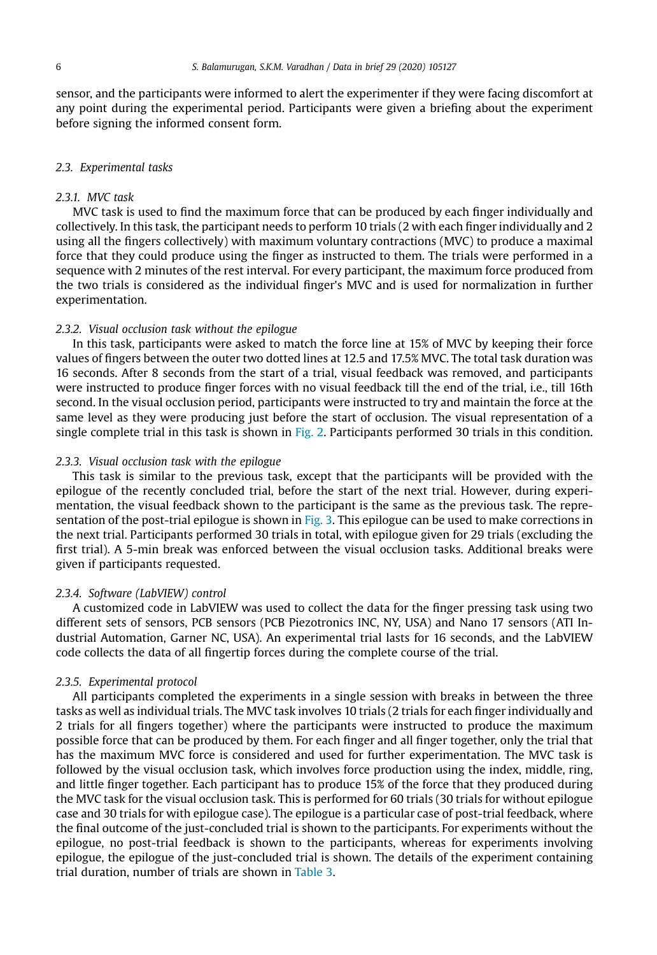sensor, and the participants were informed to alert the experimenter if they were facing discomfort at any point during the experimental period. Participants were given a briefing about the experiment before signing the informed consent form.

#### *2.3. Experimental tasks*

# *2.3.1. MVC task*

MVC task is used to find the maximum force that can be produced by each finger individually and collectively. In this task, the participant needs to perform 10 trials (2 with each finger individually and 2 using all the fingers collectively) with maximum voluntary contractions (MVC) to produce a maximal force that they could produce using the finger as instructed to them. The trials were performed in a sequence with 2 minutes of the rest interval. For every participant, the maximum force produced from the two trials is considered as the individual finger's MVC and is used for normalization in further experimentation.

## *2.3.2. Visual occlusion task without the epilogue*

In this task, participants were asked to match the force line at 15% of MVC by keeping their force values of fingers between the outer two dotted lines at 12.5 and 17.5% MVC. The total task duration was 16 seconds. After 8 seconds from the start of a trial, visual feedback was removed, and participants were instructed to produce finger forces with no visual feedback till the end of the trial, i.e., till 16th second. In the visual occlusion period, participants were instructed to try and maintain the force at the same level as they were producing just before the start of occlusion. The visual representation of a single complete trial in this task is shown in Fig. 2. Participants performed 30 trials in this condition.

# *2.3.3. Visual occlusion task with the epilogue*

This task is similar to the previous task, except that the participants will be provided with the epilogue of the recently concluded trial, before the start of the next trial. However, during experimentation, the visual feedback shown to the participant is the same as the previous task. The representation of the post-trial epilogue is shown in Fig. 3. This epilogue can be used to make corrections in the next trial. Participants performed 30 trials in total, with epilogue given for 29 trials (excluding the first trial). A 5-min break was enforced between the visual occlusion tasks. Additional breaks were given if participants requested.

#### *2.3.4. Software (LabVIEW) control*

A customized code in LabVIEW was used to collect the data for the finger pressing task using two different sets of sensors, PCB sensors (PCB Piezotronics INC, NY, USA) and Nano 17 sensors (ATI Industrial Automation, Garner NC, USA). An experimental trial lasts for 16 seconds, and the LabVIEW code collects the data of all fingertip forces during the complete course of the trial.

#### *2.3.5. Experimental protocol*

All participants completed the experiments in a single session with breaks in between the three tasks as well as individual trials. The MVC task involves 10 trials (2 trials for each finger individually and 2 trials for all fingers together) where the participants were instructed to produce the maximum possible force that can be produced by them. For each finger and all finger together, only the trial that has the maximum MVC force is considered and used for further experimentation. The MVC task is followed by the visual occlusion task, which involves force production using the index, middle, ring, and little finger together. Each participant has to produce 15% of the force that they produced during the MVC task for the visual occlusion task. This is performed for 60 trials (30 trials for without epilogue case and 30 trials for with epilogue case). The epilogue is a particular case of post-trial feedback, where the final outcome of the just-concluded trial is shown to the participants. For experiments without the epilogue, no post-trial feedback is shown to the participants, whereas for experiments involving epilogue, the epilogue of the just-concluded trial is shown. The details of the experiment containing trial duration, number of trials are shown in Table 3.